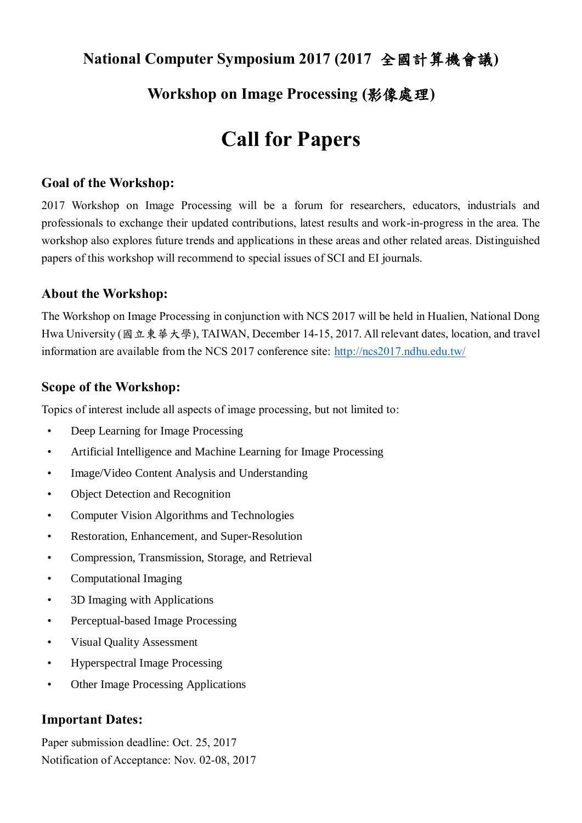# **National Computer Symposium 2017 (2017** 全國計算機會議**)**

## **Workshop on Image Processing (**影像處理**)**

# **Call for Papers**

#### **Goal of the Workshop:**

2017 Workshop on Image Processing will be a forum for researchers, educators, industrials and professionals to exchange their updated contributions, latest results and work-in-progress in the area. The workshop also explores future trends and applications in these areas and other related areas. Distinguished papers of this workshop will recommend to special issues of SCI and EI journals.

#### **About the Workshop:**

The Workshop on Image Processing in conjunction with NCS 2017 will be held in Hualien, National Dong Hwa University (國立東華大學), TAIWAN, December 14-15, 2017. All relevant dates, location, and travel information are available from the NCS 2017 conference site:<http://ncs2017.ndhu.edu.tw/>

#### **Scope of the Workshop:**

Topics of interest include all aspects of image processing, but not limited to:

- Deep Learning for Image Processing
- Artificial Intelligence and Machine Learning for Image Processing
- Image/Video Content Analysis and Understanding
- Object Detection and Recognition
- Computer Vision Algorithms and Technologies
- Restoration, Enhancement, and Super-Resolution
- Compression, Transmission, Storage, and Retrieval
- Computational Imaging
- 3D Imaging with Applications
- Perceptual-based Image Processing
- Visual Quality Assessment
- Hyperspectral Image Processing
- Other Image Processing Applications

#### **Important Dates:**

Paper submission deadline: Oct. 25, 2017 Notification of Acceptance: Nov. 02-08, 2017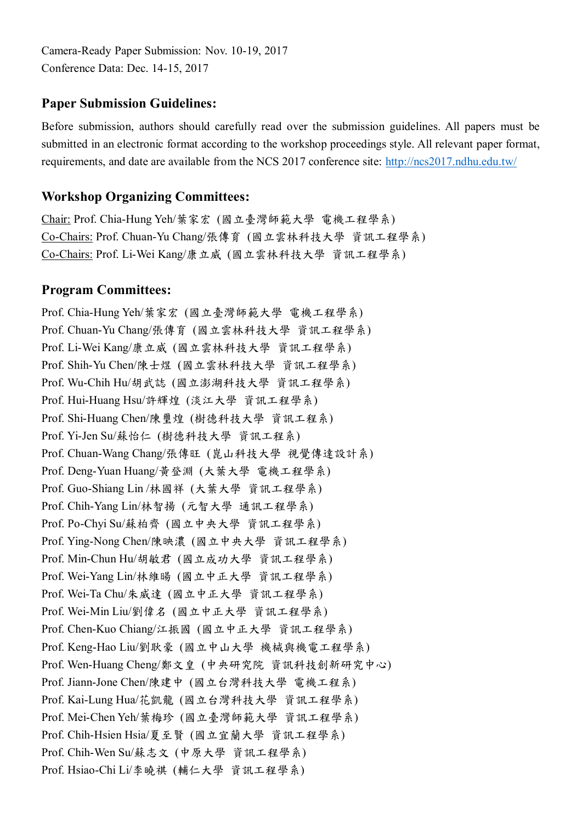Camera-Ready Paper Submission: Nov. 10-19, 2017 Conference Data: Dec. 14-15, 2017

## **Paper Submission Guidelines:**

Before submission, authors should carefully read over the submission guidelines. All papers must be submitted in an electronic format according to the workshop proceedings style. All relevant paper format, requirements, and date are available from the NCS 2017 conference site:<http://ncs2017.ndhu.edu.tw/>

#### **Workshop Organizing Committees:**

Chair: Prof. Chia-Hung Yeh/葉家宏 (國立臺灣師範大學 電機工程學系) Co-Chairs: Prof. Chuan-Yu Chang/張傳育 (國立雲林科技大學 資訊工程學系) Co-Chairs: Prof. Li-Wei Kang/康立威 (國立雲林科技大學 資訊工程學系)

### **Program Committees:**

Prof. Chia-Hung Yeh/葉家宏 (國立臺灣師範大學 電機工程學系) Prof. Chuan-Yu Chang/張傳育 (國立雲林科技大學 資訊工程學系) Prof. Li-Wei Kang/康立威 (國立雲林科技大學 資訊工程學系) Prof. Shih-Yu Chen/陳士煜 (國立雲林科技大學 資訊工程學系) Prof. Wu-Chih Hu/胡武誌 (國立澎湖科技大學 資訊工程學系) Prof. Hui-Huang Hsu/許輝煌 (淡江大學 資訊工程學系) Prof. Shi-Huang Chen/陳璽煌 (樹德科技大學 資訊工程系) Prof. Yi-Jen Su/蘇怡仁 (樹德科技大學 資訊工程系) Prof. Chuan-Wang Chang/張傳旺 (崑山科技大學 視覺傳達設計系) Prof. Deng-Yuan Huang/黃登淵 (大葉大學 電機工程學系) Prof. Guo-Shiang Lin /林國祥 (大葉大學 資訊工程學系) Prof. Chih-Yang Lin/林智揚 (元智大學 通訊工程學系) Prof. Po-Chyi Su/蘇柏齊 (國立中央大學 資訊工程學系) Prof. Ying-Nong Chen/陳映濃 (國立中央大學 資訊工程學系) Prof. Min-Chun Hu/胡敏君 (國立成功大學 資訊工程學系) Prof. Wei-Yang Lin/林維暘 (國立中正大學 資訊工程學系) Prof. Wei-Ta Chu/朱威達 (國立中正大學 資訊工程學系) Prof. Wei-Min Liu/劉偉名 (國立中正大學 資訊工程學系) Prof. Chen-Kuo Chiang/江振國 (國立中正大學 資訊工程學系) Prof. Keng-Hao Liu/劉耿豪 (國立中山大學 機械與機電工程學系) Prof. Wen-Huang Cheng/鄭文皇 (中央研究院 資訊科技創新研究中心) Prof. Jiann-Jone Chen/陳建中 (國立台灣科技大學 電機工程系) Prof. Kai-Lung Hua/花凱龍 (國立台灣科技大學 資訊工程學系) Prof. Mei-Chen Yeh/葉梅珍 (國立臺灣師範大學 資訊工程學系) Prof. Chih-Hsien Hsia/夏至賢 (國立宜蘭大學 資訊工程學系) Prof. Chih-Wen Su/蘇志文 (中原大學 資訊工程學系) Prof. Hsiao-Chi Li/李曉祺 (輔仁大學 資訊工程學系)